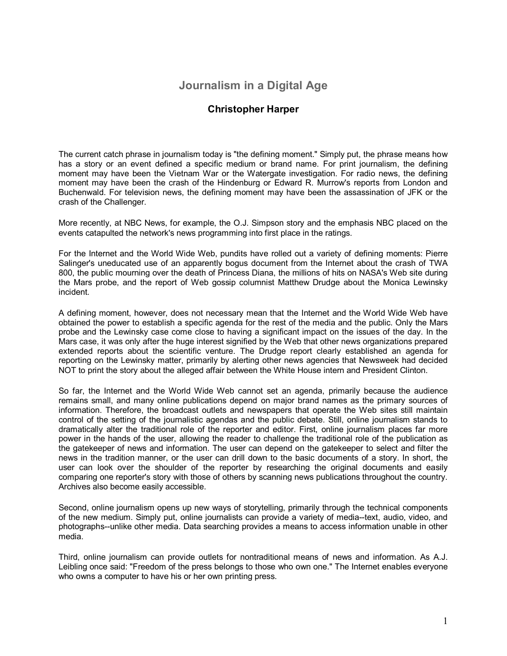## **Journalism in a Digital Age**

## **Christopher Harper**

The current catch phrase in journalism today is "the defining moment." Simply put, the phrase means how has a story or an event defined a specific medium or brand name. For print journalism, the defining moment may have been the Vietnam War or the Watergate investigation. For radio news, the defining moment may have been the crash of the Hindenburg or Edward R. Murrow's reports from London and Buchenwald. For television news, the defining moment may have been the assassination of JFK or the crash of the Challenger.

More recently, at NBC News, for example, the O.J. Simpson story and the emphasis NBC placed on the events catapulted the network's news programming into first place in the ratings.

For the Internet and the World Wide Web, pundits have rolled out a variety of defining moments: Pierre Salinger's uneducated use of an apparently bogus document from the Internet about the crash of TWA 800, the public mourning over the death of Princess Diana, the millions of hits on NASA's Web site during the Mars probe, and the report of Web gossip columnist Matthew Drudge about the Monica Lewinsky incident.

A defining moment, however, does not necessary mean that the Internet and the World Wide Web have obtained the power to establish a specific agenda for the rest of the media and the public. Only the Mars probe and the Lewinsky case come close to having a significant impact on the issues of the day. In the Mars case, it was only after the huge interest signified by the Web that other news organizations prepared extended reports about the scientific venture. The Drudge report clearly established an agenda for reporting on the Lewinsky matter, primarily by alerting other news agencies that Newsweek had decided NOT to print the story about the alleged affair between the White House intern and President Clinton.

So far, the Internet and the World Wide Web cannot set an agenda, primarily because the audience remains small, and many online publications depend on major brand names as the primary sources of information. Therefore, the broadcast outlets and newspapers that operate the Web sites still maintain control of the setting of the journalistic agendas and the public debate. Still, online journalism stands to dramatically alter the traditional role of the reporter and editor. First, online journalism places far more power in the hands of the user, allowing the reader to challenge the traditional role of the publication as the gatekeeper of news and information. The user can depend on the gatekeeper to select and filter the news in the tradition manner, or the user can drill down to the basic documents of a story. In short, the user can look over the shoulder of the reporter by researching the original documents and easily comparing one reporter's story with those of others by scanning news publications throughout the country. Archives also become easily accessible.

Second, online journalism opens up new ways of storytelling, primarily through the technical components of the new medium. Simply put, online journalists can provide a variety of media--text, audio, video, and photographs--unlike other media. Data searching provides a means to access information unable in other media.

Third, online journalism can provide outlets for nontraditional means of news and information. As A.J. Leibling once said: "Freedom of the press belongs to those who own one." The Internet enables everyone who owns a computer to have his or her own printing press.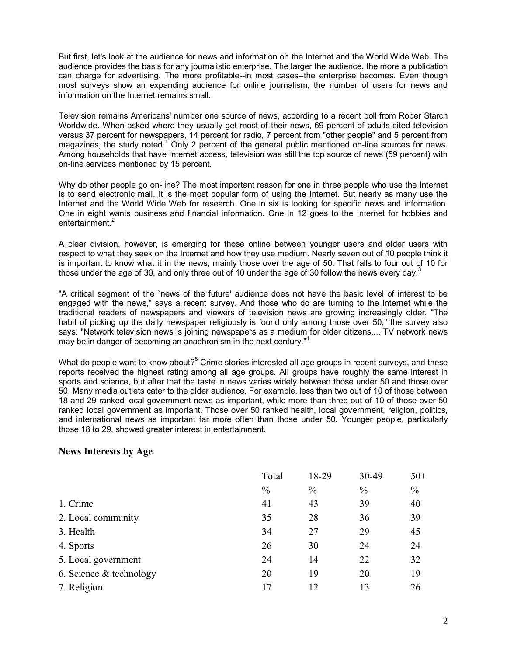But first, let's look at the audience for news and information on the Internet and the World Wide Web. The audience provides the basis for any journalistic enterprise. The larger the audience, the more a publication can charge for advertising. The more profitable--in most cases--the enterprise becomes. Even though most surveys show an expanding audience for online journalism, the number of users for news and information on the Internet remains small.

Television remains Americans' number one source of news, according to a recent poll from Roper Starch Worldwide. When asked where they usually get most of their news, 69 percent of adults cited television versus 37 percent for newspapers, 14 percent for radio, 7 percent from "other people" and 5 percent from magazines, the study noted.<sup>1</sup> Only 2 percent of the general public mentioned on-line sources for news. Among households that have Internet access, television was still the top source of news (59 percent) with on-line services mentioned by 15 percent.

Why do other people go on-line? The most important reason for one in three people who use the Internet is to send electronic mail. It is the most popular form of using the Internet. But nearly as many use the Internet and the World Wide Web for research. One in six is looking for specific news and information. One in eight wants business and financial information. One in 12 goes to the Internet for hobbies and entertainment.<sup>2</sup>

A clear division, however, is emerging for those online between younger users and older users with respect to what they seek on the Internet and how they use medium. Nearly seven out of 10 people think it is important to know what it in the news, mainly those over the age of 50. That falls to four out of 10 for those under the age of 30, and only three out of 10 under the age of 30 follow the news every day.<sup>3</sup>

"A critical segment of the `news of the future' audience does not have the basic level of interest to be engaged with the news," says a recent survey. And those who do are turning to the Internet while the traditional readers of newspapers and viewers of television news are growing increasingly older. "The habit of picking up the daily newspaper religiously is found only among those over 50," the survey also says. "Network television news is joining newspapers as a medium for older citizens.... TV network news may be in danger of becoming an anachronism in the next century."<sup>4</sup>

What do people want to know about?<sup>5</sup> Crime stories interested all age groups in recent surveys, and these reports received the highest rating among all age groups. All groups have roughly the same interest in sports and science, but after that the taste in news varies widely between those under 50 and those over 50. Many media outlets cater to the older audience. For example, less than two out of 10 of those between 18 and 29 ranked local government news as important, while more than three out of 10 of those over 50 ranked local government as important. Those over 50 ranked health, local government, religion, politics, and international news as important far more often than those under 50. Younger people, particularly those 18 to 29, showed greater interest in entertainment.

## **News Interests by Age**

|                           | Total         | 18-29         | 30-49         | $50+$         |
|---------------------------|---------------|---------------|---------------|---------------|
|                           | $\frac{0}{0}$ | $\frac{0}{0}$ | $\frac{0}{0}$ | $\frac{0}{0}$ |
| 1. Crime                  | 41            | 43            | 39            | 40            |
| 2. Local community        | 35            | 28            | 36            | 39            |
| 3. Health                 | 34            | 27            | 29            | 45            |
| 4. Sports                 | 26            | 30            | 24            | 24            |
| 5. Local government       | 24            | 14            | 22            | 32            |
| 6. Science $&$ technology | 20            | 19            | 20            | 19            |
| 7. Religion               | 17            | 12            | 13            | 26            |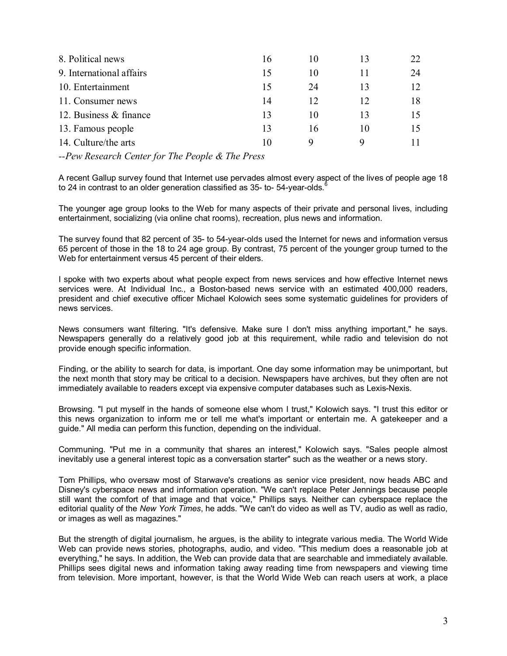| 8. Political news        | 16 |    | 13 | 22 |
|--------------------------|----|----|----|----|
| 9. International affairs | 15 | 10 |    | 24 |
| 10. Entertainment        | 15 | 24 | 13 |    |
| 11. Consumer news        | 14 | 12 | 12 | 18 |
| 12. Business & finance   | 13 | 10 | 13 | 15 |
| 13. Famous people        | 13 | 16 | 10 |    |
| 14. Culture/the arts     | 10 | Q  | 9  |    |
|                          |    |    |    |    |

*--Pew Research Center for The People & The Press*

A recent Gallup survey found that Internet use pervades almost every aspect of the lives of people age 18 to 24 in contrast to an older generation classified as 35- to-54-year-olds.<sup>6</sup>

The younger age group looks to the Web for many aspects of their private and personal lives, including entertainment, socializing (via online chat rooms), recreation, plus news and information.

The survey found that 82 percent of 35- to 54-year-olds used the Internet for news and information versus 65 percent of those in the 18 to 24 age group. By contrast, 75 percent of the younger group turned to the Web for entertainment versus 45 percent of their elders.

I spoke with two experts about what people expect from news services and how effective Internet news services were. At Individual Inc., a Boston-based news service with an estimated 400,000 readers, president and chief executive officer Michael Kolowich sees some systematic guidelines for providers of news services.

News consumers want filtering. "It's defensive. Make sure I don't miss anything important," he says. Newspapers generally do a relatively good job at this requirement, while radio and television do not provide enough specific information.

Finding, or the ability to search for data, is important. One day some information may be unimportant, but the next month that story may be critical to a decision. Newspapers have archives, but they often are not immediately available to readers except via expensive computer databases such as Lexis-Nexis.

Browsing. "I put myself in the hands of someone else whom I trust," Kolowich says. "I trust this editor or this news organization to inform me or tell me what's important or entertain me. A gatekeeper and a guide." All media can perform this function, depending on the individual.

Communing. "Put me in a community that shares an interest," Kolowich says. "Sales people almost inevitably use a general interest topic as a conversation starter" such as the weather or a news story.

Tom Phillips, who oversaw most of Starwave's creations as senior vice president, now heads ABC and Disney's cyberspace news and information operation. "We can't replace Peter Jennings because people still want the comfort of that image and that voice," Phillips says. Neither can cyberspace replace the editorial quality of the *New York Times*, he adds. "We can't do video as well as TV, audio as well as radio, or images as well as magazines."

But the strength of digital journalism, he argues, is the ability to integrate various media. The World Wide Web can provide news stories, photographs, audio, and video. "This medium does a reasonable job at everything," he says. In addition, the Web can provide data that are searchable and immediately available. Phillips sees digital news and information taking away reading time from newspapers and viewing time from television. More important, however, is that the World Wide Web can reach users at work, a place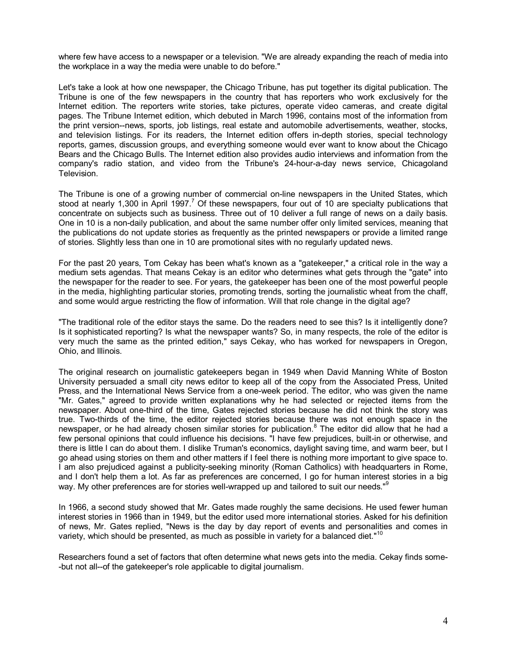where few have access to a newspaper or a television. "We are already expanding the reach of media into the workplace in a way the media were unable to do before."

Let's take a look at how one newspaper, the Chicago Tribune, has put together its digital publication. The Tribune is one of the few newspapers in the country that has reporters who work exclusively for the Internet edition. The reporters write stories, take pictures, operate video cameras, and create digital pages. The Tribune Internet edition, which debuted in March 1996, contains most of the information from the print version--news, sports, job listings, real estate and automobile advertisements, weather, stocks, and television listings. For its readers, the Internet edition offers in-depth stories, special technology reports, games, discussion groups, and everything someone would ever want to know about the Chicago Bears and the Chicago Bulls. The Internet edition also provides audio interviews and information from the company's radio station, and video from the Tribune's 24-hour-a-day news service, Chicagoland Television.

The Tribune is one of a growing number of commercial on-line newspapers in the United States, which stood at nearly 1,300 in April 1997.<sup>7</sup> Of these newspapers, four out of 10 are specialty publications that concentrate on subjects such as business. Three out of 10 deliver a full range of news on a daily basis. One in 10 is a non-daily publication, and about the same number offer only limited services, meaning that the publications do not update stories as frequently as the printed newspapers or provide a limited range of stories. Slightly less than one in 10 are promotional sites with no regularly updated news.

For the past 20 years, Tom Cekay has been what's known as a "gatekeeper," a critical role in the way a medium sets agendas. That means Cekay is an editor who determines what gets through the "gate" into the newspaper for the reader to see. For years, the gatekeeper has been one of the most powerful people in the media, highlighting particular stories, promoting trends, sorting the journalistic wheat from the chaff, and some would argue restricting the flow of information. Will that role change in the digital age?

"The traditional role of the editor stays the same. Do the readers need to see this? Is it intelligently done? Is it sophisticated reporting? Is what the newspaper wants? So, in many respects, the role of the editor is very much the same as the printed edition," says Cekay, who has worked for newspapers in Oregon, Ohio, and Illinois.

The original research on journalistic gatekeepers began in 1949 when David Manning White of Boston University persuaded a small city news editor to keep all of the copy from the Associated Press, United Press, and the International News Service from a one-week period. The editor, who was given the name "Mr. Gates," agreed to provide written explanations why he had selected or rejected items from the newspaper. About one-third of the time, Gates rejected stories because he did not think the story was true. Two-thirds of the time, the editor rejected stories because there was not enough space in the newspaper, or he had already chosen similar stories for publication.<sup>8</sup> The editor did allow that he had a few personal opinions that could influence his decisions. "I have few prejudices, built-in or otherwise, and there is little I can do about them. I dislike Truman's economics, daylight saving time, and warm beer, but I go ahead using stories on them and other matters if I feel there is nothing more important to give space to. I am also prejudiced against a publicity-seeking minority (Roman Catholics) with headquarters in Rome, and I don't help them a lot. As far as preferences are concerned, I go for human interest stories in a big way. My other preferences are for stories well-wrapped up and tailored to suit our needs."<sup>9</sup>

In 1966, a second study showed that Mr. Gates made roughly the same decisions. He used fewer human interest stories in 1966 than in 1949, but the editor used more international stories. Asked for his definition of news, Mr. Gates replied, "News is the day by day report of events and personalities and comes in variety, which should be presented, as much as possible in variety for a balanced diet."<sup>10</sup>

Researchers found a set of factors that often determine what news gets into the media. Cekay finds some- -but not all--of the gatekeeper's role applicable to digital journalism.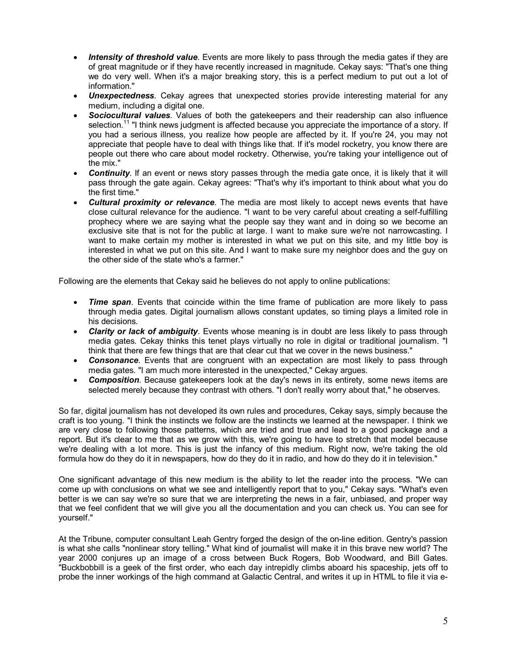- **Intensity of threshold value**. Events are more likely to pass through the media gates if they are of great magnitude or if they have recently increased in magnitude. Cekay says: "That's one thing we do very well. When it's a major breaking story, this is a perfect medium to put out a lot of information."
- · *Unexpectedness*. Cekay agrees that unexpected stories provide interesting material for any medium, including a digital one.
- · *Sociocultural values*. Values of both the gatekeepers and their readership can also influence selection.<sup>11</sup> "I think news judgment is affected because you appreciate the importance of a story. If you had a serious illness, you realize how people are affected by it. If you're 24, you may not appreciate that people have to deal with things like that. If it's model rocketry, you know there are people out there who care about model rocketry. Otherwise, you're taking your intelligence out of the mix."
- **Continuity**. If an event or news story passes through the media gate once, it is likely that it will pass through the gate again. Cekay agrees: "That's why it's important to think about what you do the first time."
- · *Cultural proximity or relevance*. The media are most likely to accept news events that have close cultural relevance for the audience. "I want to be very careful about creating a self-fulfilling prophecy where we are saying what the people say they want and in doing so we become an exclusive site that is not for the public at large. I want to make sure we're not narrowcasting. I want to make certain my mother is interested in what we put on this site, and my little boy is interested in what we put on this site. And I want to make sure my neighbor does and the guy on the other side of the state who's a farmer."

Following are the elements that Cekay said he believes do not apply to online publications:

- · *Time span*. Events that coincide within the time frame of publication are more likely to pass through media gates. Digital journalism allows constant updates, so timing plays a limited role in his decisions.
- **Clarity or lack of ambiguity**. Events whose meaning is in doubt are less likely to pass through media gates. Cekay thinks this tenet plays virtually no role in digital or traditional journalism. "I think that there are few things that are that clear cut that we cover in the news business."
- **Consonance**. Events that are congruent with an expectation are most likely to pass through media gates. "I am much more interested in the unexpected," Cekay argues.
- · *Composition*. Because gatekeepers look at the day's news in its entirety, some news items are selected merely because they contrast with others. "I don't really worry about that," he observes.

So far, digital journalism has not developed its own rules and procedures, Cekay says, simply because the craft is too young. "I think the instincts we follow are the instincts we learned at the newspaper. I think we are very close to following those patterns, which are tried and true and lead to a good package and a report. But it's clear to me that as we grow with this, we're going to have to stretch that model because we're dealing with a lot more. This is just the infancy of this medium. Right now, we're taking the old formula how do they do it in newspapers, how do they do it in radio, and how do they do it in television."

One significant advantage of this new medium is the ability to let the reader into the process. "We can come up with conclusions on what we see and intelligently report that to you," Cekay says. "What's even better is we can say we're so sure that we are interpreting the news in a fair, unbiased, and proper way that we feel confident that we will give you all the documentation and you can check us. You can see for yourself."

At the Tribune, computer consultant Leah Gentry forged the design of the on-line edition. Gentry's passion is what she calls "nonlinear story telling." What kind of journalist will make it in this brave new world? The year 2000 conjures up an image of a cross between Buck Rogers, Bob Woodward, and Bill Gates. "Buckbobbill is a geek of the first order, who each day intrepidly climbs aboard his spaceship, jets off to probe the inner workings of the high command at Galactic Central, and writes it up in HTML to file it via e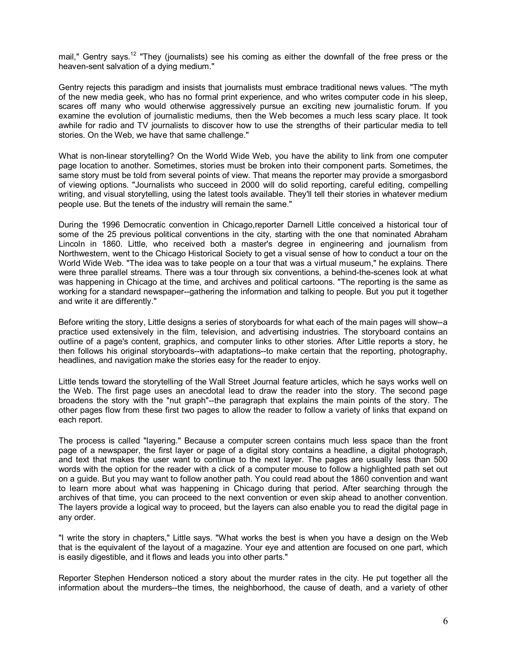mail," Gentry says.<sup>12</sup> "They (journalists) see his coming as either the downfall of the free press or the heaven-sent salvation of a dying medium."

Gentry rejects this paradigm and insists that journalists must embrace traditional news values. "The myth of the new media geek, who has no formal print experience, and who writes computer code in his sleep, scares off many who would otherwise aggressively pursue an exciting new journalistic forum. If you examine the evolution of journalistic mediums, then the Web becomes a much less scary place. It took awhile for radio and TV journalists to discover how to use the strengths of their particular media to tell stories. On the Web, we have that same challenge."

What is non-linear storytelling? On the World Wide Web, you have the ability to link from one computer page location to another. Sometimes, stories must be broken into their component parts. Sometimes, the same story must be told from several points of view. That means the reporter may provide a smorgasbord of viewing options. "Journalists who succeed in 2000 will do solid reporting, careful editing, compelling writing, and visual storytelling, using the latest tools available. They'll tell their stories in whatever medium people use. But the tenets of the industry will remain the same."

During the 1996 Democratic convention in Chicago,reporter Darnell Little conceived a historical tour of some of the 25 previous political conventions in the city, starting with the one that nominated Abraham Lincoln in 1860. Little, who received both a master's degree in engineering and journalism from Northwestern, went to the Chicago Historical Society to get a visual sense of how to conduct a tour on the World Wide Web. "The idea was to take people on a tour that was a virtual museum," he explains. There were three parallel streams. There was a tour through six conventions, a behind-the-scenes look at what was happening in Chicago at the time, and archives and political cartoons. "The reporting is the same as working for a standard newspaper--gathering the information and talking to people. But you put it together and write it are differently."

Before writing the story, Little designs a series of storyboards for what each of the main pages will show--a practice used extensively in the film, television, and advertising industries. The storyboard contains an outline of a page's content, graphics, and computer links to other stories. After Little reports a story, he then follows his original storyboards--with adaptations--to make certain that the reporting, photography, headlines, and navigation make the stories easy for the reader to enjoy.

Little tends toward the storytelling of the Wall Street Journal feature articles, which he says works well on the Web. The first page uses an anecdotal lead to draw the reader into the story. The second page broadens the story with the "nut graph"--the paragraph that explains the main points of the story. The other pages flow from these first two pages to allow the reader to follow a variety of links that expand on each report.

The process is called "layering." Because a computer screen contains much less space than the front page of a newspaper, the first layer or page of a digital story contains a headline, a digital photograph, and text that makes the user want to continue to the next layer. The pages are usually less than 500 words with the option for the reader with a click of a computer mouse to follow a highlighted path set out on a guide. But you may want to follow another path. You could read about the 1860 convention and want to learn more about what was happening in Chicago during that period. After searching through the archives of that time, you can proceed to the next convention or even skip ahead to another convention. The layers provide a logical way to proceed, but the layers can also enable you to read the digital page in any order.

"I write the story in chapters," Little says. "What works the best is when you have a design on the Web that is the equivalent of the layout of a magazine. Your eye and attention are focused on one part, which is easily digestible, and it flows and leads you into other parts."

Reporter Stephen Henderson noticed a story about the murder rates in the city. He put together all the information about the murders--the times, the neighborhood, the cause of death, and a variety of other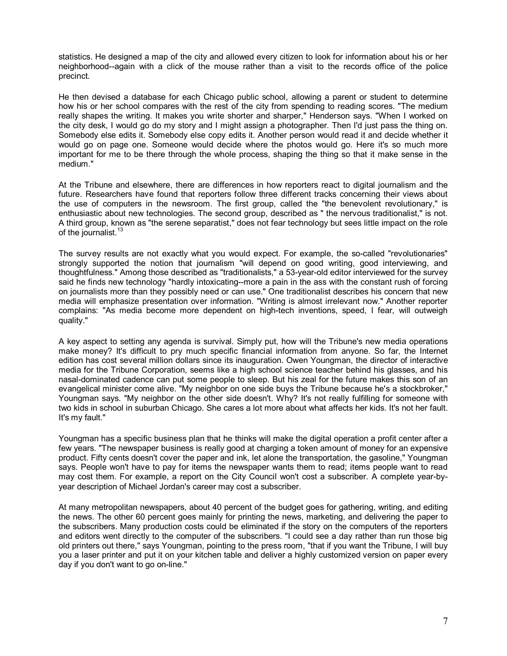statistics. He designed a map of the city and allowed every citizen to look for information about his or her neighborhood--again with a click of the mouse rather than a visit to the records office of the police precinct.

He then devised a database for each Chicago public school, allowing a parent or student to determine how his or her school compares with the rest of the city from spending to reading scores. "The medium really shapes the writing. It makes you write shorter and sharper," Henderson says. "When I worked on the city desk, I would go do my story and I might assign a photographer. Then I'd just pass the thing on. Somebody else edits it. Somebody else copy edits it. Another person would read it and decide whether it would go on page one. Someone would decide where the photos would go. Here it's so much more important for me to be there through the whole process, shaping the thing so that it make sense in the medium."

At the Tribune and elsewhere, there are differences in how reporters react to digital journalism and the future. Researchers have found that reporters follow three different tracks concerning their views about the use of computers in the newsroom. The first group, called the "the benevolent revolutionary," is enthusiastic about new technologies. The second group, described as " the nervous traditionalist," is not. A third group, known as "the serene separatist," does not fear technology but sees little impact on the role of the journalist. $1$ 

The survey results are not exactly what you would expect. For example, the so-called "revolutionaries" strongly supported the notion that journalism "will depend on good writing, good interviewing, and thoughtfulness." Among those described as "traditionalists," a 53-year-old editor interviewed for the survey said he finds new technology "hardly intoxicating--more a pain in the ass with the constant rush of forcing on journalists more than they possibly need or can use." One traditionalist describes his concern that new media will emphasize presentation over information. "Writing is almost irrelevant now." Another reporter complains: "As media become more dependent on high-tech inventions, speed, I fear, will outweigh quality."

A key aspect to setting any agenda is survival. Simply put, how will the Tribune's new media operations make money? It's difficult to pry much specific financial information from anyone. So far, the Internet edition has cost several million dollars since its inauguration. Owen Youngman, the director of interactive media for the Tribune Corporation, seems like a high school science teacher behind his glasses, and his nasal-dominated cadence can put some people to sleep. But his zeal for the future makes this son of an evangelical minister come alive. "My neighbor on one side buys the Tribune because he's a stockbroker," Youngman says. "My neighbor on the other side doesn't. Why? It's not really fulfilling for someone with two kids in school in suburban Chicago. She cares a lot more about what affects her kids. It's not her fault. It's my fault."

Youngman has a specific business plan that he thinks will make the digital operation a profit center after a few years. "The newspaper business is really good at charging a token amount of money for an expensive product. Fifty cents doesn't cover the paper and ink, let alone the transportation, the gasoline," Youngman says. People won't have to pay for items the newspaper wants them to read; items people want to read may cost them. For example, a report on the City Council won't cost a subscriber. A complete year-byyear description of Michael Jordan's career may cost a subscriber.

At many metropolitan newspapers, about 40 percent of the budget goes for gathering, writing, and editing the news. The other 60 percent goes mainly for printing the news, marketing, and delivering the paper to the subscribers. Many production costs could be eliminated if the story on the computers of the reporters and editors went directly to the computer of the subscribers. "I could see a day rather than run those big old printers out there," says Youngman, pointing to the press room, "that if you want the Tribune, I will buy you a laser printer and put it on your kitchen table and deliver a highly customized version on paper every day if you don't want to go on-line."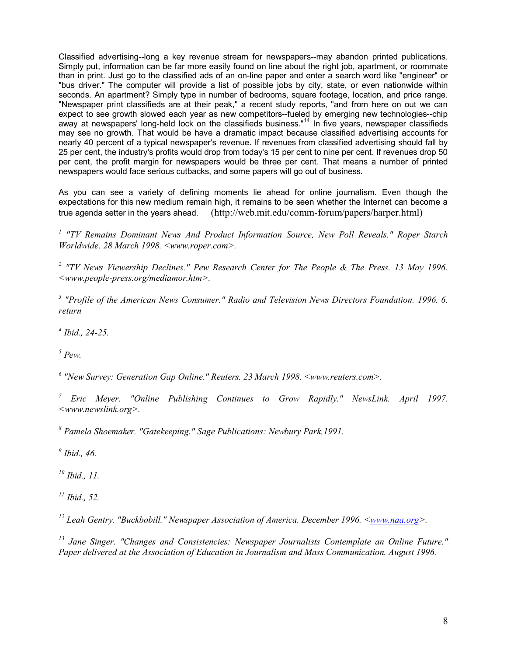Classified advertising--long a key revenue stream for newspapers--may abandon printed publications. Simply put, information can be far more easily found on line about the right job, apartment, or roommate than in print. Just go to the classified ads of an on-line paper and enter a search word like "engineer" or "bus driver." The computer will provide a list of possible jobs by city, state, or even nationwide within seconds. An apartment? Simply type in number of bedrooms, square footage, location, and price range. "Newspaper print classifieds are at their peak," a recent study reports, "and from here on out we can expect to see growth slowed each year as new competitors--fueled by emerging new technologies--chip away at newspapers' long-held lock on the classifieds business."<sup>14</sup> In five years, newspaper classifieds may see no growth. That would be have a dramatic impact because classified advertising accounts for nearly 40 percent of a typical newspaper's revenue. If revenues from classified advertising should fall by 25 per cent, the industry's profits would drop from today's 15 per cent to nine per cent. If revenues drop 50 per cent, the profit margin for newspapers would be three per cent. That means a number of printed newspapers would face serious cutbacks, and some papers will go out of business.

As you can see a variety of defining moments lie ahead for online journalism. Even though the expectations for this new medium remain high, it remains to be seen whether the Internet can become a true agenda setter in the years ahead. (http://web.mit.edu/comm-forum/papers/harper.html)

<sup>1</sup> "TV Remains Dominant News And Product Information Source, New Poll Reveals." Roper Starch *Worldwide. 28 March 1998. <www.roper.com>.*

<sup>2</sup> "TV News Viewership Declines." Pew Research Center for The People & The Press. 13 May 1996. *<www.people-press.org/mediamor.htm>.*

*3 "Profile of the American News Consumer." Radio and Television News Directors Foundation. 1996. 6. return*

*4 Ibid., 24-25.*

*5 Pew.*

<sup>6</sup> "New Survey: Generation Gap Online." Reuters. 23 March 1998. <www.reuters.com>.

*7 Eric Meyer. "Online Publishing Continues to Grow Rapidly." NewsLink. April 1997. <www.newslink.org>.*

*8 Pamela Shoemaker. "Gatekeeping." Sage Publications: Newbury Park,1991.*

*9 Ibid., 46.*

*<sup>10</sup> Ibid., 11.*

*<sup>11</sup> Ibid., 52.*

*<sup>12</sup> Leah Gentry. "Buckbobill." Newspaper Association of America. December 1996. <ww[w.naa.org>.](http://:@www.naa.org/)*

*<sup>13</sup> Jane Singer. "Changes and Consistencies: Newspaper Journalists Contemplate an Online Future." Paper delivered at the Association of Education in Journalism and Mass Communication. August 1996.*